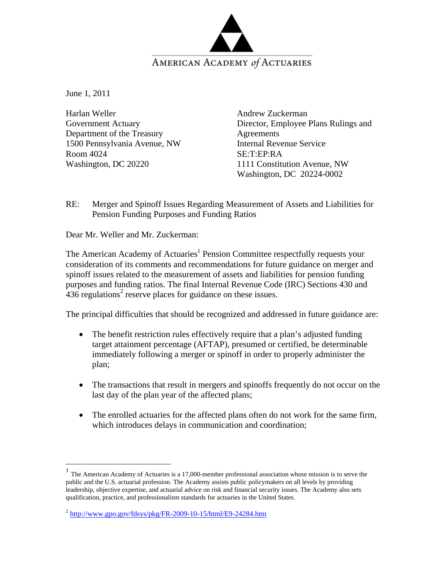

June 1, 2011

1

Harlan Weller Government Actuary Department of the Treasury 1500 Pennsylvania Avenue, NW Room 4024 Washington, DC 20220

Andrew Zuckerman Director, Employee Plans Rulings and Agreements Internal Revenue Service SE:T:EP:RA 1111 Constitution Avenue, NW Washington, DC 20224-0002

RE: Merger and Spinoff Issues Regarding Measurement of Assets and Liabilities for Pension Funding Purposes and Funding Ratios

Dear Mr. Weller and Mr. Zuckerman:

The American Academy of Actuaries<sup>1</sup> Pension Committee respectfully requests your consideration of its comments and recommendations for future guidance on merger and spinoff issues related to the measurement of assets and liabilities for pension funding purposes and funding ratios. The final Internal Revenue Code (IRC) Sections 430 and  $436$  regulations<sup>2</sup> reserve places for guidance on these issues.

The principal difficulties that should be recognized and addressed in future guidance are:

- The benefit restriction rules effectively require that a plan's adjusted funding target attainment percentage (AFTAP), presumed or certified, be determinable immediately following a merger or spinoff in order to properly administer the plan;
- The transactions that result in mergers and spinoffs frequently do not occur on the last day of the plan year of the affected plans;
- The enrolled actuaries for the affected plans often do not work for the same firm, which introduces delays in communication and coordination;

<sup>1</sup> The American Academy of Actuaries is a 17,000-member professional association whose mission is to serve the public and the U.S. actuarial profession. The Academy assists public policymakers on all levels by providing leadership, objective expertise, and actuarial advice on risk and financial security issues. The Academy also sets qualification, practice, and professionalism standards for actuaries in the United States.

 $^{2}$  http://www.gpo.gov/fdsys/pkg/FR-2009-10-15/html/E9-24284.htm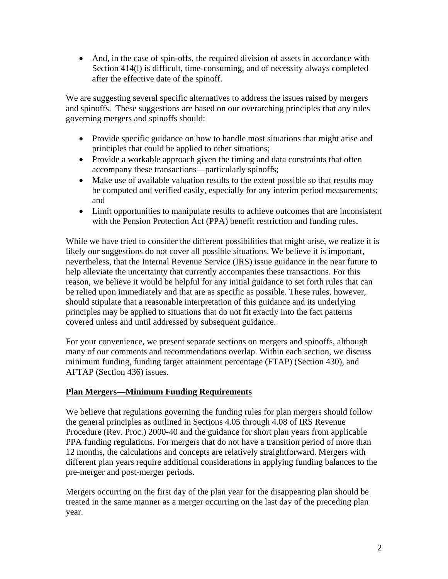• And, in the case of spin-offs, the required division of assets in accordance with Section 414(l) is difficult, time-consuming, and of necessity always completed after the effective date of the spinoff.

We are suggesting several specific alternatives to address the issues raised by mergers and spinoffs. These suggestions are based on our overarching principles that any rules governing mergers and spinoffs should:

- Provide specific guidance on how to handle most situations that might arise and principles that could be applied to other situations;
- Provide a workable approach given the timing and data constraints that often accompany these transactions—particularly spinoffs;
- Make use of available valuation results to the extent possible so that results may be computed and verified easily, especially for any interim period measurements; and
- Limit opportunities to manipulate results to achieve outcomes that are inconsistent with the Pension Protection Act (PPA) benefit restriction and funding rules.

While we have tried to consider the different possibilities that might arise, we realize it is likely our suggestions do not cover all possible situations. We believe it is important, nevertheless, that the Internal Revenue Service (IRS) issue guidance in the near future to help alleviate the uncertainty that currently accompanies these transactions. For this reason, we believe it would be helpful for any initial guidance to set forth rules that can be relied upon immediately and that are as specific as possible. These rules, however, should stipulate that a reasonable interpretation of this guidance and its underlying principles may be applied to situations that do not fit exactly into the fact patterns covered unless and until addressed by subsequent guidance.

For your convenience, we present separate sections on mergers and spinoffs, although many of our comments and recommendations overlap. Within each section, we discuss minimum funding, funding target attainment percentage (FTAP) (Section 430), and AFTAP (Section 436) issues.

# **Plan Mergers—Minimum Funding Requirements**

We believe that regulations governing the funding rules for plan mergers should follow the general principles as outlined in Sections 4.05 through 4.08 of IRS Revenue Procedure (Rev. Proc.) 2000-40 and the guidance for short plan years from applicable PPA funding regulations. For mergers that do not have a transition period of more than 12 months, the calculations and concepts are relatively straightforward. Mergers with different plan years require additional considerations in applying funding balances to the pre-merger and post-merger periods.

Mergers occurring on the first day of the plan year for the disappearing plan should be treated in the same manner as a merger occurring on the last day of the preceding plan year.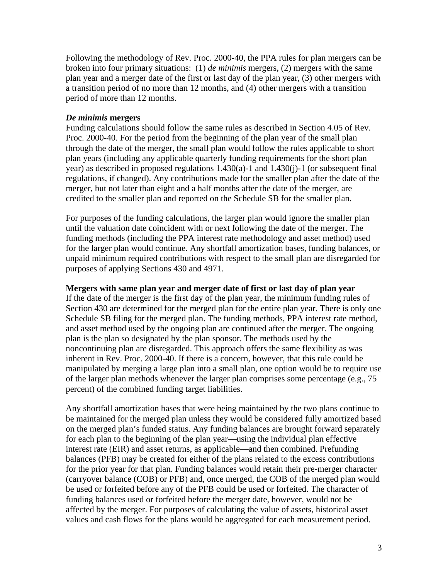Following the methodology of Rev. Proc. 2000-40, the PPA rules for plan mergers can be broken into four primary situations: (1) *de minimis* mergers, (2) mergers with the same plan year and a merger date of the first or last day of the plan year, (3) other mergers with a transition period of no more than 12 months, and (4) other mergers with a transition period of more than 12 months.

#### *De minimis* **mergers**

Funding calculations should follow the same rules as described in Section 4.05 of Rev. Proc. 2000-40. For the period from the beginning of the plan year of the small plan through the date of the merger, the small plan would follow the rules applicable to short plan years (including any applicable quarterly funding requirements for the short plan year) as described in proposed regulations 1.430(a)-1 and 1.430(j)-1 (or subsequent final regulations, if changed). Any contributions made for the smaller plan after the date of the merger, but not later than eight and a half months after the date of the merger, are credited to the smaller plan and reported on the Schedule SB for the smaller plan.

For purposes of the funding calculations, the larger plan would ignore the smaller plan until the valuation date coincident with or next following the date of the merger. The funding methods (including the PPA interest rate methodology and asset method) used for the larger plan would continue. Any shortfall amortization bases, funding balances, or unpaid minimum required contributions with respect to the small plan are disregarded for purposes of applying Sections 430 and 4971.

#### **Mergers with same plan year and merger date of first or last day of plan year**

If the date of the merger is the first day of the plan year, the minimum funding rules of Section 430 are determined for the merged plan for the entire plan year. There is only one Schedule SB filing for the merged plan. The funding methods, PPA interest rate method, and asset method used by the ongoing plan are continued after the merger. The ongoing plan is the plan so designated by the plan sponsor. The methods used by the noncontinuing plan are disregarded. This approach offers the same flexibility as was inherent in Rev. Proc. 2000-40. If there is a concern, however, that this rule could be manipulated by merging a large plan into a small plan, one option would be to require use of the larger plan methods whenever the larger plan comprises some percentage (e.g., 75 percent) of the combined funding target liabilities.

Any shortfall amortization bases that were being maintained by the two plans continue to be maintained for the merged plan unless they would be considered fully amortized based on the merged plan's funded status. Any funding balances are brought forward separately for each plan to the beginning of the plan year—using the individual plan effective interest rate (EIR) and asset returns, as applicable—and then combined. Prefunding balances (PFB) may be created for either of the plans related to the excess contributions for the prior year for that plan. Funding balances would retain their pre-merger character (carryover balance (COB) or PFB) and, once merged, the COB of the merged plan would be used or forfeited before any of the PFB could be used or forfeited. The character of funding balances used or forfeited before the merger date, however, would not be affected by the merger. For purposes of calculating the value of assets, historical asset values and cash flows for the plans would be aggregated for each measurement period.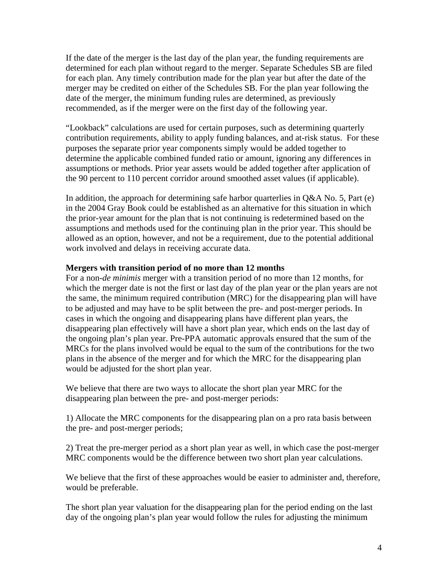If the date of the merger is the last day of the plan year, the funding requirements are determined for each plan without regard to the merger. Separate Schedules SB are filed for each plan. Any timely contribution made for the plan year but after the date of the merger may be credited on either of the Schedules SB. For the plan year following the date of the merger, the minimum funding rules are determined, as previously recommended, as if the merger were on the first day of the following year.

"Lookback" calculations are used for certain purposes, such as determining quarterly contribution requirements, ability to apply funding balances, and at-risk status. For these purposes the separate prior year components simply would be added together to determine the applicable combined funded ratio or amount, ignoring any differences in assumptions or methods. Prior year assets would be added together after application of the 90 percent to 110 percent corridor around smoothed asset values (if applicable).

In addition, the approach for determining safe harbor quarterlies in  $Q&AA$  No. 5, Part (e) in the 2004 Gray Book could be established as an alternative for this situation in which the prior-year amount for the plan that is not continuing is redetermined based on the assumptions and methods used for the continuing plan in the prior year. This should be allowed as an option, however, and not be a requirement, due to the potential additional work involved and delays in receiving accurate data.

#### **Mergers with transition period of no more than 12 months**

For a non-*de minimis* merger with a transition period of no more than 12 months, for which the merger date is not the first or last day of the plan year or the plan years are not the same, the minimum required contribution (MRC) for the disappearing plan will have to be adjusted and may have to be split between the pre- and post-merger periods. In cases in which the ongoing and disappearing plans have different plan years, the disappearing plan effectively will have a short plan year, which ends on the last day of the ongoing plan's plan year. Pre-PPA automatic approvals ensured that the sum of the MRCs for the plans involved would be equal to the sum of the contributions for the two plans in the absence of the merger and for which the MRC for the disappearing plan would be adjusted for the short plan year.

We believe that there are two ways to allocate the short plan year MRC for the disappearing plan between the pre- and post-merger periods:

1) Allocate the MRC components for the disappearing plan on a pro rata basis between the pre- and post-merger periods;

2) Treat the pre-merger period as a short plan year as well, in which case the post-merger MRC components would be the difference between two short plan year calculations.

We believe that the first of these approaches would be easier to administer and, therefore, would be preferable.

The short plan year valuation for the disappearing plan for the period ending on the last day of the ongoing plan's plan year would follow the rules for adjusting the minimum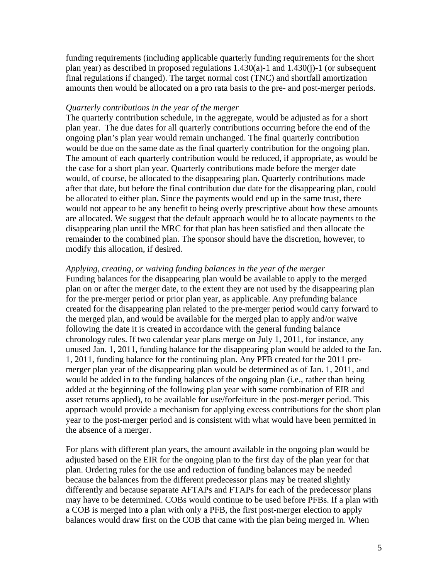funding requirements (including applicable quarterly funding requirements for the short plan year) as described in proposed regulations 1.430(a)-1 and 1.430(j)-1 (or subsequent final regulations if changed). The target normal cost (TNC) and shortfall amortization amounts then would be allocated on a pro rata basis to the pre- and post-merger periods.

#### *Quarterly contributions in the year of the merger*

The quarterly contribution schedule, in the aggregate, would be adjusted as for a short plan year. The due dates for all quarterly contributions occurring before the end of the ongoing plan's plan year would remain unchanged. The final quarterly contribution would be due on the same date as the final quarterly contribution for the ongoing plan. The amount of each quarterly contribution would be reduced, if appropriate, as would be the case for a short plan year. Quarterly contributions made before the merger date would, of course, be allocated to the disappearing plan. Quarterly contributions made after that date, but before the final contribution due date for the disappearing plan, could be allocated to either plan. Since the payments would end up in the same trust, there would not appear to be any benefit to being overly prescriptive about how these amounts are allocated. We suggest that the default approach would be to allocate payments to the disappearing plan until the MRC for that plan has been satisfied and then allocate the remainder to the combined plan. The sponsor should have the discretion, however, to modify this allocation, if desired.

#### *Applying, creating, or waiving funding balances in the year of the merger*

Funding balances for the disappearing plan would be available to apply to the merged plan on or after the merger date, to the extent they are not used by the disappearing plan for the pre-merger period or prior plan year, as applicable. Any prefunding balance created for the disappearing plan related to the pre-merger period would carry forward to the merged plan, and would be available for the merged plan to apply and/or waive following the date it is created in accordance with the general funding balance chronology rules. If two calendar year plans merge on July 1, 2011, for instance, any unused Jan. 1, 2011, funding balance for the disappearing plan would be added to the Jan. 1, 2011, funding balance for the continuing plan. Any PFB created for the 2011 premerger plan year of the disappearing plan would be determined as of Jan. 1, 2011, and would be added in to the funding balances of the ongoing plan (i.e., rather than being added at the beginning of the following plan year with some combination of EIR and asset returns applied), to be available for use/forfeiture in the post-merger period. This approach would provide a mechanism for applying excess contributions for the short plan year to the post-merger period and is consistent with what would have been permitted in the absence of a merger.

For plans with different plan years, the amount available in the ongoing plan would be adjusted based on the EIR for the ongoing plan to the first day of the plan year for that plan. Ordering rules for the use and reduction of funding balances may be needed because the balances from the different predecessor plans may be treated slightly differently and because separate AFTAPs and FTAPs for each of the predecessor plans may have to be determined. COBs would continue to be used before PFBs. If a plan with a COB is merged into a plan with only a PFB, the first post-merger election to apply balances would draw first on the COB that came with the plan being merged in. When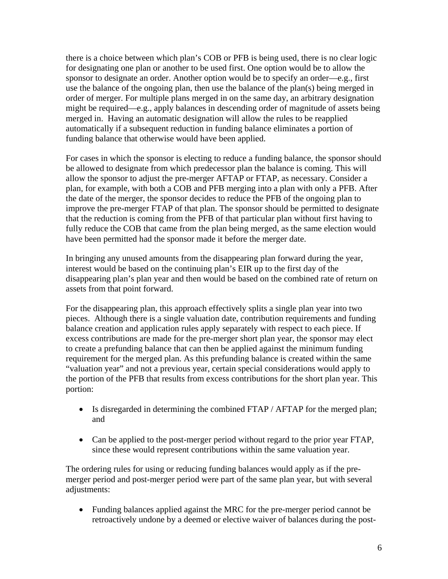there is a choice between which plan's COB or PFB is being used, there is no clear logic for designating one plan or another to be used first. One option would be to allow the sponsor to designate an order. Another option would be to specify an order—e.g., first use the balance of the ongoing plan, then use the balance of the plan(s) being merged in order of merger. For multiple plans merged in on the same day, an arbitrary designation might be required—e.g., apply balances in descending order of magnitude of assets being merged in. Having an automatic designation will allow the rules to be reapplied automatically if a subsequent reduction in funding balance eliminates a portion of funding balance that otherwise would have been applied.

For cases in which the sponsor is electing to reduce a funding balance, the sponsor should be allowed to designate from which predecessor plan the balance is coming. This will allow the sponsor to adjust the pre-merger AFTAP or FTAP, as necessary. Consider a plan, for example, with both a COB and PFB merging into a plan with only a PFB. After the date of the merger, the sponsor decides to reduce the PFB of the ongoing plan to improve the pre-merger FTAP of that plan. The sponsor should be permitted to designate that the reduction is coming from the PFB of that particular plan without first having to fully reduce the COB that came from the plan being merged, as the same election would have been permitted had the sponsor made it before the merger date.

In bringing any unused amounts from the disappearing plan forward during the year, interest would be based on the continuing plan's EIR up to the first day of the disappearing plan's plan year and then would be based on the combined rate of return on assets from that point forward.

For the disappearing plan, this approach effectively splits a single plan year into two pieces. Although there is a single valuation date, contribution requirements and funding balance creation and application rules apply separately with respect to each piece. If excess contributions are made for the pre-merger short plan year, the sponsor may elect to create a prefunding balance that can then be applied against the minimum funding requirement for the merged plan. As this prefunding balance is created within the same "valuation year" and not a previous year, certain special considerations would apply to the portion of the PFB that results from excess contributions for the short plan year. This portion:

- Is disregarded in determining the combined FTAP / AFTAP for the merged plan; and
- Can be applied to the post-merger period without regard to the prior year FTAP, since these would represent contributions within the same valuation year.

The ordering rules for using or reducing funding balances would apply as if the premerger period and post-merger period were part of the same plan year, but with several adjustments:

• Funding balances applied against the MRC for the pre-merger period cannot be retroactively undone by a deemed or elective waiver of balances during the post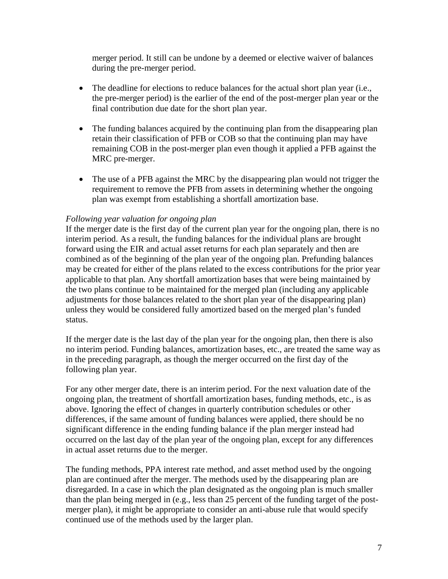merger period. It still can be undone by a deemed or elective waiver of balances during the pre-merger period.

- The deadline for elections to reduce balances for the actual short plan year (i.e., the pre-merger period) is the earlier of the end of the post-merger plan year or the final contribution due date for the short plan year.
- The funding balances acquired by the continuing plan from the disappearing plan retain their classification of PFB or COB so that the continuing plan may have remaining COB in the post-merger plan even though it applied a PFB against the MRC pre-merger.
- The use of a PFB against the MRC by the disappearing plan would not trigger the requirement to remove the PFB from assets in determining whether the ongoing plan was exempt from establishing a shortfall amortization base.

### *Following year valuation for ongoing plan*

If the merger date is the first day of the current plan year for the ongoing plan, there is no interim period. As a result, the funding balances for the individual plans are brought forward using the EIR and actual asset returns for each plan separately and then are combined as of the beginning of the plan year of the ongoing plan. Prefunding balances may be created for either of the plans related to the excess contributions for the prior year applicable to that plan. Any shortfall amortization bases that were being maintained by the two plans continue to be maintained for the merged plan (including any applicable adjustments for those balances related to the short plan year of the disappearing plan) unless they would be considered fully amortized based on the merged plan's funded status.

If the merger date is the last day of the plan year for the ongoing plan, then there is also no interim period. Funding balances, amortization bases, etc., are treated the same way as in the preceding paragraph, as though the merger occurred on the first day of the following plan year.

For any other merger date, there is an interim period. For the next valuation date of the ongoing plan, the treatment of shortfall amortization bases, funding methods, etc., is as above. Ignoring the effect of changes in quarterly contribution schedules or other differences, if the same amount of funding balances were applied, there should be no significant difference in the ending funding balance if the plan merger instead had occurred on the last day of the plan year of the ongoing plan, except for any differences in actual asset returns due to the merger.

The funding methods, PPA interest rate method, and asset method used by the ongoing plan are continued after the merger. The methods used by the disappearing plan are disregarded. In a case in which the plan designated as the ongoing plan is much smaller than the plan being merged in (e.g., less than 25 percent of the funding target of the postmerger plan), it might be appropriate to consider an anti-abuse rule that would specify continued use of the methods used by the larger plan.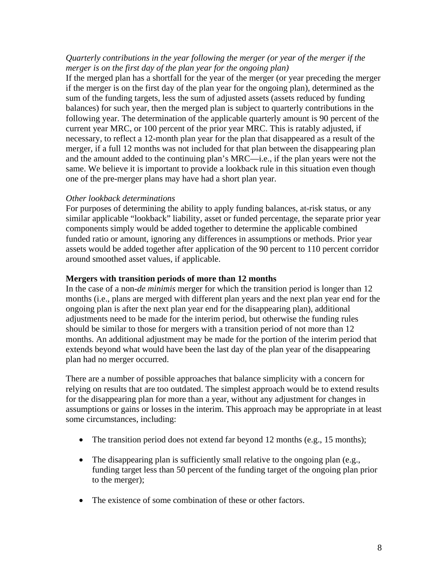### *Quarterly contributions in the year following the merger (or year of the merger if the merger is on the first day of the plan year for the ongoing plan)*

If the merged plan has a shortfall for the year of the merger (or year preceding the merger if the merger is on the first day of the plan year for the ongoing plan), determined as the sum of the funding targets, less the sum of adjusted assets (assets reduced by funding balances) for such year, then the merged plan is subject to quarterly contributions in the following year. The determination of the applicable quarterly amount is 90 percent of the current year MRC, or 100 percent of the prior year MRC. This is ratably adjusted, if necessary, to reflect a 12-month plan year for the plan that disappeared as a result of the merger, if a full 12 months was not included for that plan between the disappearing plan and the amount added to the continuing plan's MRC—i.e., if the plan years were not the same. We believe it is important to provide a lookback rule in this situation even though one of the pre-merger plans may have had a short plan year.

### *Other lookback determinations*

For purposes of determining the ability to apply funding balances, at-risk status, or any similar applicable "lookback" liability, asset or funded percentage, the separate prior year components simply would be added together to determine the applicable combined funded ratio or amount, ignoring any differences in assumptions or methods. Prior year assets would be added together after application of the 90 percent to 110 percent corridor around smoothed asset values, if applicable.

### **Mergers with transition periods of more than 12 months**

In the case of a non-*de minimis* merger for which the transition period is longer than 12 months (i.e., plans are merged with different plan years and the next plan year end for the ongoing plan is after the next plan year end for the disappearing plan), additional adjustments need to be made for the interim period, but otherwise the funding rules should be similar to those for mergers with a transition period of not more than 12 months. An additional adjustment may be made for the portion of the interim period that extends beyond what would have been the last day of the plan year of the disappearing plan had no merger occurred.

There are a number of possible approaches that balance simplicity with a concern for relying on results that are too outdated. The simplest approach would be to extend results for the disappearing plan for more than a year, without any adjustment for changes in assumptions or gains or losses in the interim. This approach may be appropriate in at least some circumstances, including:

- The transition period does not extend far beyond 12 months (e.g., 15 months);
- The disappearing plan is sufficiently small relative to the ongoing plan (e.g., funding target less than 50 percent of the funding target of the ongoing plan prior to the merger);
- The existence of some combination of these or other factors.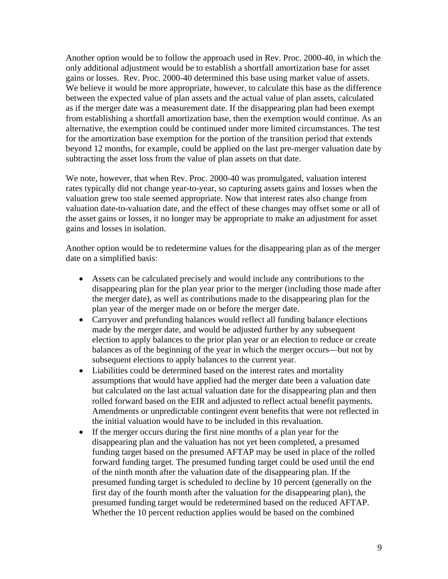Another option would be to follow the approach used in Rev. Proc. 2000-40, in which the only additional adjustment would be to establish a shortfall amortization base for asset gains or losses. Rev. Proc. 2000-40 determined this base using market value of assets. We believe it would be more appropriate, however, to calculate this base as the difference between the expected value of plan assets and the actual value of plan assets, calculated as if the merger date was a measurement date. If the disappearing plan had been exempt from establishing a shortfall amortization base, then the exemption would continue. As an alternative, the exemption could be continued under more limited circumstances. The test for the amortization base exemption for the portion of the transition period that extends beyond 12 months, for example, could be applied on the last pre-merger valuation date by subtracting the asset loss from the value of plan assets on that date.

We note, however, that when Rev. Proc. 2000-40 was promulgated, valuation interest rates typically did not change year-to-year, so capturing assets gains and losses when the valuation grew too stale seemed appropriate. Now that interest rates also change from valuation date-to-valuation date, and the effect of these changes may offset some or all of the asset gains or losses, it no longer may be appropriate to make an adjustment for asset gains and losses in isolation.

Another option would be to redetermine values for the disappearing plan as of the merger date on a simplified basis:

- Assets can be calculated precisely and would include any contributions to the disappearing plan for the plan year prior to the merger (including those made after the merger date), as well as contributions made to the disappearing plan for the plan year of the merger made on or before the merger date.
- Carryover and prefunding balances would reflect all funding balance elections made by the merger date, and would be adjusted further by any subsequent election to apply balances to the prior plan year or an election to reduce or create balances as of the beginning of the year in which the merger occurs—but not by subsequent elections to apply balances to the current year.
- Liabilities could be determined based on the interest rates and mortality assumptions that would have applied had the merger date been a valuation date but calculated on the last actual valuation date for the disappearing plan and then rolled forward based on the EIR and adjusted to reflect actual benefit payments. Amendments or unpredictable contingent event benefits that were not reflected in the initial valuation would have to be included in this revaluation.
- If the merger occurs during the first nine months of a plan year for the disappearing plan and the valuation has not yet been completed, a presumed funding target based on the presumed AFTAP may be used in place of the rolled forward funding target. The presumed funding target could be used until the end of the ninth month after the valuation date of the disappearing plan. If the presumed funding target is scheduled to decline by 10 percent (generally on the first day of the fourth month after the valuation for the disappearing plan), the presumed funding target would be redetermined based on the reduced AFTAP. Whether the 10 percent reduction applies would be based on the combined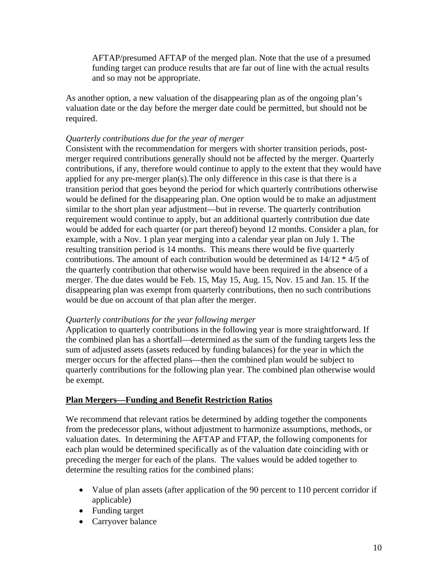AFTAP/presumed AFTAP of the merged plan. Note that the use of a presumed funding target can produce results that are far out of line with the actual results and so may not be appropriate.

As another option, a new valuation of the disappearing plan as of the ongoing plan's valuation date or the day before the merger date could be permitted, but should not be required.

### *Quarterly contributions due for the year of merger*

Consistent with the recommendation for mergers with shorter transition periods, postmerger required contributions generally should not be affected by the merger. Quarterly contributions, if any, therefore would continue to apply to the extent that they would have applied for any pre-merger plan(s).The only difference in this case is that there is a transition period that goes beyond the period for which quarterly contributions otherwise would be defined for the disappearing plan. One option would be to make an adjustment similar to the short plan year adjustment—but in reverse. The quarterly contribution requirement would continue to apply, but an additional quarterly contribution due date would be added for each quarter (or part thereof) beyond 12 months. Consider a plan, for example, with a Nov. 1 plan year merging into a calendar year plan on July 1. The resulting transition period is 14 months. This means there would be five quarterly contributions. The amount of each contribution would be determined as 14/12 \* 4/5 of the quarterly contribution that otherwise would have been required in the absence of a merger. The due dates would be Feb. 15, May 15, Aug. 15, Nov. 15 and Jan. 15. If the disappearing plan was exempt from quarterly contributions, then no such contributions would be due on account of that plan after the merger.

### *Quarterly contributions for the year following merger*

Application to quarterly contributions in the following year is more straightforward. If the combined plan has a shortfall—determined as the sum of the funding targets less the sum of adjusted assets (assets reduced by funding balances) for the year in which the merger occurs for the affected plans—then the combined plan would be subject to quarterly contributions for the following plan year. The combined plan otherwise would be exempt.

# **Plan Mergers—Funding and Benefit Restriction Ratios**

We recommend that relevant ratios be determined by adding together the components from the predecessor plans, without adjustment to harmonize assumptions, methods, or valuation dates. In determining the AFTAP and FTAP, the following components for each plan would be determined specifically as of the valuation date coinciding with or preceding the merger for each of the plans. The values would be added together to determine the resulting ratios for the combined plans:

- Value of plan assets (after application of the 90 percent to 110 percent corridor if applicable)
- Funding target
- Carryover balance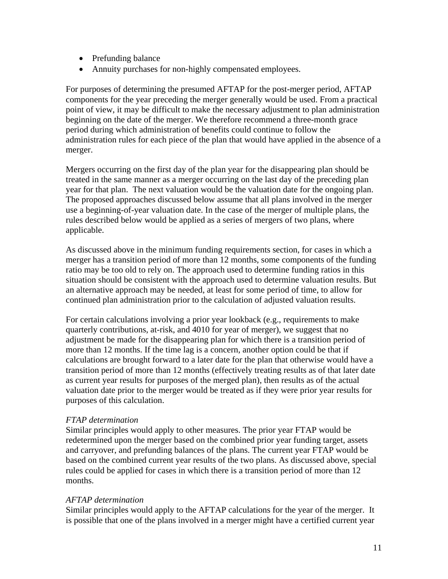- Prefunding balance
- Annuity purchases for non-highly compensated employees.

For purposes of determining the presumed AFTAP for the post-merger period, AFTAP components for the year preceding the merger generally would be used. From a practical point of view, it may be difficult to make the necessary adjustment to plan administration beginning on the date of the merger. We therefore recommend a three-month grace period during which administration of benefits could continue to follow the administration rules for each piece of the plan that would have applied in the absence of a merger.

Mergers occurring on the first day of the plan year for the disappearing plan should be treated in the same manner as a merger occurring on the last day of the preceding plan year for that plan. The next valuation would be the valuation date for the ongoing plan. The proposed approaches discussed below assume that all plans involved in the merger use a beginning-of-year valuation date. In the case of the merger of multiple plans, the rules described below would be applied as a series of mergers of two plans, where applicable.

As discussed above in the minimum funding requirements section, for cases in which a merger has a transition period of more than 12 months, some components of the funding ratio may be too old to rely on. The approach used to determine funding ratios in this situation should be consistent with the approach used to determine valuation results. But an alternative approach may be needed, at least for some period of time, to allow for continued plan administration prior to the calculation of adjusted valuation results.

For certain calculations involving a prior year lookback (e.g., requirements to make quarterly contributions, at-risk, and 4010 for year of merger), we suggest that no adjustment be made for the disappearing plan for which there is a transition period of more than 12 months. If the time lag is a concern, another option could be that if calculations are brought forward to a later date for the plan that otherwise would have a transition period of more than 12 months (effectively treating results as of that later date as current year results for purposes of the merged plan), then results as of the actual valuation date prior to the merger would be treated as if they were prior year results for purposes of this calculation.

### *FTAP determination*

Similar principles would apply to other measures. The prior year FTAP would be redetermined upon the merger based on the combined prior year funding target, assets and carryover, and prefunding balances of the plans. The current year FTAP would be based on the combined current year results of the two plans. As discussed above, special rules could be applied for cases in which there is a transition period of more than 12 months.

### *AFTAP determination*

Similar principles would apply to the AFTAP calculations for the year of the merger. It is possible that one of the plans involved in a merger might have a certified current year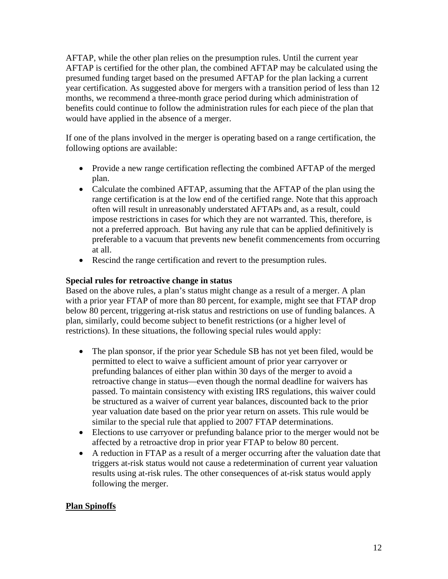AFTAP, while the other plan relies on the presumption rules. Until the current year AFTAP is certified for the other plan, the combined AFTAP may be calculated using the presumed funding target based on the presumed AFTAP for the plan lacking a current year certification. As suggested above for mergers with a transition period of less than 12 months, we recommend a three-month grace period during which administration of benefits could continue to follow the administration rules for each piece of the plan that would have applied in the absence of a merger.

If one of the plans involved in the merger is operating based on a range certification, the following options are available:

- Provide a new range certification reflecting the combined AFTAP of the merged plan.
- Calculate the combined AFTAP, assuming that the AFTAP of the plan using the range certification is at the low end of the certified range. Note that this approach often will result in unreasonably understated AFTAPs and, as a result, could impose restrictions in cases for which they are not warranted. This, therefore, is not a preferred approach. But having any rule that can be applied definitively is preferable to a vacuum that prevents new benefit commencements from occurring at all.
- Rescind the range certification and revert to the presumption rules.

# **Special rules for retroactive change in status**

Based on the above rules, a plan's status might change as a result of a merger. A plan with a prior year FTAP of more than 80 percent, for example, might see that FTAP drop below 80 percent, triggering at-risk status and restrictions on use of funding balances. A plan, similarly, could become subject to benefit restrictions (or a higher level of restrictions). In these situations, the following special rules would apply:

- The plan sponsor, if the prior year Schedule SB has not yet been filed, would be permitted to elect to waive a sufficient amount of prior year carryover or prefunding balances of either plan within 30 days of the merger to avoid a retroactive change in status—even though the normal deadline for waivers has passed. To maintain consistency with existing IRS regulations, this waiver could be structured as a waiver of current year balances, discounted back to the prior year valuation date based on the prior year return on assets. This rule would be similar to the special rule that applied to 2007 FTAP determinations.
- Elections to use carryover or prefunding balance prior to the merger would not be affected by a retroactive drop in prior year FTAP to below 80 percent.
- A reduction in FTAP as a result of a merger occurring after the valuation date that triggers at-risk status would not cause a redetermination of current year valuation results using at-risk rules. The other consequences of at-risk status would apply following the merger.

# **Plan Spinoffs**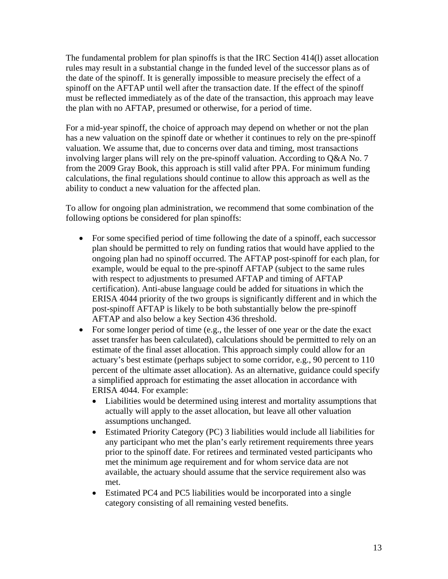The fundamental problem for plan spinoffs is that the IRC Section 414(l) asset allocation rules may result in a substantial change in the funded level of the successor plans as of the date of the spinoff. It is generally impossible to measure precisely the effect of a spinoff on the AFTAP until well after the transaction date. If the effect of the spinoff must be reflected immediately as of the date of the transaction, this approach may leave the plan with no AFTAP, presumed or otherwise, for a period of time.

For a mid-year spinoff, the choice of approach may depend on whether or not the plan has a new valuation on the spinoff date or whether it continues to rely on the pre-spinoff valuation. We assume that, due to concerns over data and timing, most transactions involving larger plans will rely on the pre-spinoff valuation. According to Q&A No. 7 from the 2009 Gray Book, this approach is still valid after PPA. For minimum funding calculations, the final regulations should continue to allow this approach as well as the ability to conduct a new valuation for the affected plan.

To allow for ongoing plan administration, we recommend that some combination of the following options be considered for plan spinoffs:

- For some specified period of time following the date of a spinoff, each successor plan should be permitted to rely on funding ratios that would have applied to the ongoing plan had no spinoff occurred. The AFTAP post-spinoff for each plan, for example, would be equal to the pre-spinoff AFTAP (subject to the same rules with respect to adjustments to presumed AFTAP and timing of AFTAP certification). Anti-abuse language could be added for situations in which the ERISA 4044 priority of the two groups is significantly different and in which the post-spinoff AFTAP is likely to be both substantially below the pre-spinoff AFTAP and also below a key Section 436 threshold.
- For some longer period of time (e.g., the lesser of one year or the date the exact asset transfer has been calculated), calculations should be permitted to rely on an estimate of the final asset allocation. This approach simply could allow for an actuary's best estimate (perhaps subject to some corridor, e.g., 90 percent to 110 percent of the ultimate asset allocation). As an alternative, guidance could specify a simplified approach for estimating the asset allocation in accordance with ERISA 4044. For example:
	- Liabilities would be determined using interest and mortality assumptions that actually will apply to the asset allocation, but leave all other valuation assumptions unchanged.
	- Estimated Priority Category (PC) 3 liabilities would include all liabilities for any participant who met the plan's early retirement requirements three years prior to the spinoff date. For retirees and terminated vested participants who met the minimum age requirement and for whom service data are not available, the actuary should assume that the service requirement also was met.
	- Estimated PC4 and PC5 liabilities would be incorporated into a single category consisting of all remaining vested benefits.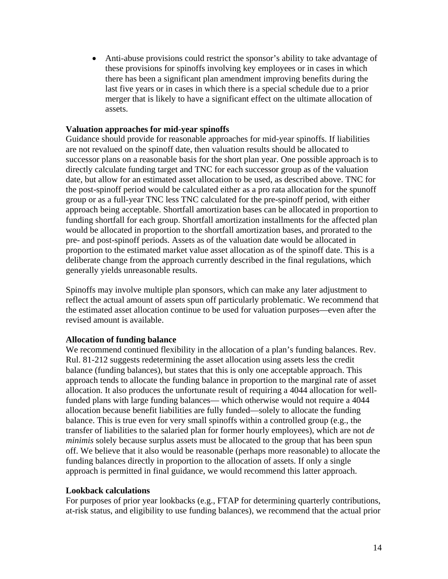• Anti-abuse provisions could restrict the sponsor's ability to take advantage of these provisions for spinoffs involving key employees or in cases in which there has been a significant plan amendment improving benefits during the last five years or in cases in which there is a special schedule due to a prior merger that is likely to have a significant effect on the ultimate allocation of assets.

#### **Valuation approaches for mid-year spinoffs**

Guidance should provide for reasonable approaches for mid-year spinoffs. If liabilities are not revalued on the spinoff date, then valuation results should be allocated to successor plans on a reasonable basis for the short plan year. One possible approach is to directly calculate funding target and TNC for each successor group as of the valuation date, but allow for an estimated asset allocation to be used, as described above. TNC for the post-spinoff period would be calculated either as a pro rata allocation for the spunoff group or as a full-year TNC less TNC calculated for the pre-spinoff period, with either approach being acceptable. Shortfall amortization bases can be allocated in proportion to funding shortfall for each group. Shortfall amortization installments for the affected plan would be allocated in proportion to the shortfall amortization bases, and prorated to the pre- and post-spinoff periods. Assets as of the valuation date would be allocated in proportion to the estimated market value asset allocation as of the spinoff date. This is a deliberate change from the approach currently described in the final regulations, which generally yields unreasonable results.

Spinoffs may involve multiple plan sponsors, which can make any later adjustment to reflect the actual amount of assets spun off particularly problematic. We recommend that the estimated asset allocation continue to be used for valuation purposes—even after the revised amount is available.

#### **Allocation of funding balance**

We recommend continued flexibility in the allocation of a plan's funding balances. Rev. Rul. 81-212 suggests redetermining the asset allocation using assets less the credit balance (funding balances), but states that this is only one acceptable approach. This approach tends to allocate the funding balance in proportion to the marginal rate of asset allocation. It also produces the unfortunate result of requiring a 4044 allocation for wellfunded plans with large funding balances— which otherwise would not require a 4044 allocation because benefit liabilities are fully funded—solely to allocate the funding balance. This is true even for very small spinoffs within a controlled group (e.g., the transfer of liabilities to the salaried plan for former hourly employees), which are not *de minimis* solely because surplus assets must be allocated to the group that has been spun off. We believe that it also would be reasonable (perhaps more reasonable) to allocate the funding balances directly in proportion to the allocation of assets. If only a single approach is permitted in final guidance, we would recommend this latter approach.

#### **Lookback calculations**

For purposes of prior year lookbacks (e.g., FTAP for determining quarterly contributions, at-risk status, and eligibility to use funding balances), we recommend that the actual prior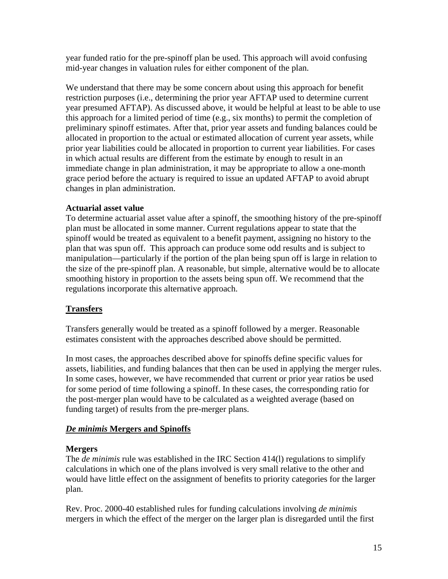year funded ratio for the pre-spinoff plan be used. This approach will avoid confusing mid-year changes in valuation rules for either component of the plan.

We understand that there may be some concern about using this approach for benefit restriction purposes (i.e., determining the prior year AFTAP used to determine current year presumed AFTAP). As discussed above, it would be helpful at least to be able to use this approach for a limited period of time (e.g., six months) to permit the completion of preliminary spinoff estimates. After that, prior year assets and funding balances could be allocated in proportion to the actual or estimated allocation of current year assets, while prior year liabilities could be allocated in proportion to current year liabilities. For cases in which actual results are different from the estimate by enough to result in an immediate change in plan administration, it may be appropriate to allow a one-month grace period before the actuary is required to issue an updated AFTAP to avoid abrupt changes in plan administration.

### **Actuarial asset value**

To determine actuarial asset value after a spinoff, the smoothing history of the pre-spinoff plan must be allocated in some manner. Current regulations appear to state that the spinoff would be treated as equivalent to a benefit payment, assigning no history to the plan that was spun off. This approach can produce some odd results and is subject to manipulation—particularly if the portion of the plan being spun off is large in relation to the size of the pre-spinoff plan. A reasonable, but simple, alternative would be to allocate smoothing history in proportion to the assets being spun off. We recommend that the regulations incorporate this alternative approach.

# **Transfers**

Transfers generally would be treated as a spinoff followed by a merger. Reasonable estimates consistent with the approaches described above should be permitted.

In most cases, the approaches described above for spinoffs define specific values for assets, liabilities, and funding balances that then can be used in applying the merger rules. In some cases, however, we have recommended that current or prior year ratios be used for some period of time following a spinoff. In these cases, the corresponding ratio for the post-merger plan would have to be calculated as a weighted average (based on funding target) of results from the pre-merger plans.

# *De minimis* **Mergers and Spinoffs**

### **Mergers**

The *de minimis* rule was established in the IRC Section 414(l) regulations to simplify calculations in which one of the plans involved is very small relative to the other and would have little effect on the assignment of benefits to priority categories for the larger plan.

Rev. Proc. 2000-40 established rules for funding calculations involving *de minimis* mergers in which the effect of the merger on the larger plan is disregarded until the first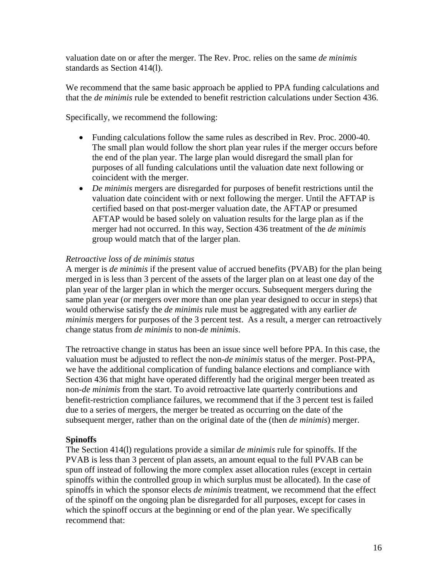valuation date on or after the merger. The Rev. Proc. relies on the same *de minimis* standards as Section 414(l).

We recommend that the same basic approach be applied to PPA funding calculations and that the *de minimis* rule be extended to benefit restriction calculations under Section 436.

Specifically, we recommend the following:

- Funding calculations follow the same rules as described in Rev. Proc. 2000-40. The small plan would follow the short plan year rules if the merger occurs before the end of the plan year. The large plan would disregard the small plan for purposes of all funding calculations until the valuation date next following or coincident with the merger.
- *De minimis* mergers are disregarded for purposes of benefit restrictions until the valuation date coincident with or next following the merger. Until the AFTAP is certified based on that post-merger valuation date, the AFTAP or presumed AFTAP would be based solely on valuation results for the large plan as if the merger had not occurred. In this way, Section 436 treatment of the *de minimis* group would match that of the larger plan.

# *Retroactive loss of de minimis status*

A merger is *de minimis* if the present value of accrued benefits (PVAB) for the plan being merged in is less than 3 percent of the assets of the larger plan on at least one day of the plan year of the larger plan in which the merger occurs. Subsequent mergers during the same plan year (or mergers over more than one plan year designed to occur in steps) that would otherwise satisfy the *de minimis* rule must be aggregated with any earlier *de minimis* mergers for purposes of the 3 percent test. As a result, a merger can retroactively change status from *de minimis* to non-*de minimis*.

The retroactive change in status has been an issue since well before PPA. In this case, the valuation must be adjusted to reflect the non-*de minimis* status of the merger. Post-PPA, we have the additional complication of funding balance elections and compliance with Section 436 that might have operated differently had the original merger been treated as non-*de minimis* from the start. To avoid retroactive late quarterly contributions and benefit-restriction compliance failures, we recommend that if the 3 percent test is failed due to a series of mergers, the merger be treated as occurring on the date of the subsequent merger, rather than on the original date of the (then *de minimis*) merger.

### **Spinoffs**

The Section 414(l) regulations provide a similar *de minimis* rule for spinoffs. If the PVAB is less than 3 percent of plan assets, an amount equal to the full PVAB can be spun off instead of following the more complex asset allocation rules (except in certain spinoffs within the controlled group in which surplus must be allocated). In the case of spinoffs in which the sponsor elects *de minimis* treatment, we recommend that the effect of the spinoff on the ongoing plan be disregarded for all purposes, except for cases in which the spinoff occurs at the beginning or end of the plan year. We specifically recommend that: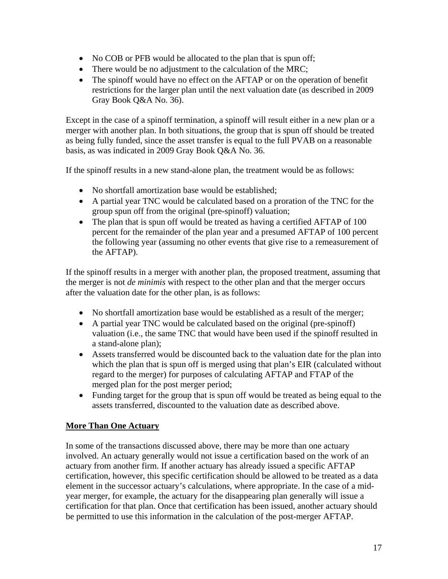- No COB or PFB would be allocated to the plan that is spun off;
- There would be no adjustment to the calculation of the MRC;
- The spinoff would have no effect on the AFTAP or on the operation of benefit restrictions for the larger plan until the next valuation date (as described in 2009 Gray Book Q&A No. 36).

Except in the case of a spinoff termination, a spinoff will result either in a new plan or a merger with another plan. In both situations, the group that is spun off should be treated as being fully funded, since the asset transfer is equal to the full PVAB on a reasonable basis, as was indicated in 2009 Gray Book Q&A No. 36.

If the spinoff results in a new stand-alone plan, the treatment would be as follows:

- No shortfall amortization base would be established:
- A partial year TNC would be calculated based on a proration of the TNC for the group spun off from the original (pre-spinoff) valuation;
- The plan that is spun off would be treated as having a certified AFTAP of 100 percent for the remainder of the plan year and a presumed AFTAP of 100 percent the following year (assuming no other events that give rise to a remeasurement of the AFTAP).

If the spinoff results in a merger with another plan, the proposed treatment, assuming that the merger is not *de minimis* with respect to the other plan and that the merger occurs after the valuation date for the other plan, is as follows:

- No shortfall amortization base would be established as a result of the merger;
- A partial year TNC would be calculated based on the original (pre-spinoff) valuation (i.e., the same TNC that would have been used if the spinoff resulted in a stand-alone plan);
- Assets transferred would be discounted back to the valuation date for the plan into which the plan that is spun off is merged using that plan's EIR (calculated without regard to the merger) for purposes of calculating AFTAP and FTAP of the merged plan for the post merger period;
- Funding target for the group that is spun off would be treated as being equal to the assets transferred, discounted to the valuation date as described above.

# **More Than One Actuary**

In some of the transactions discussed above, there may be more than one actuary involved. An actuary generally would not issue a certification based on the work of an actuary from another firm. If another actuary has already issued a specific AFTAP certification, however, this specific certification should be allowed to be treated as a data element in the successor actuary's calculations, where appropriate. In the case of a midyear merger, for example, the actuary for the disappearing plan generally will issue a certification for that plan. Once that certification has been issued, another actuary should be permitted to use this information in the calculation of the post-merger AFTAP.